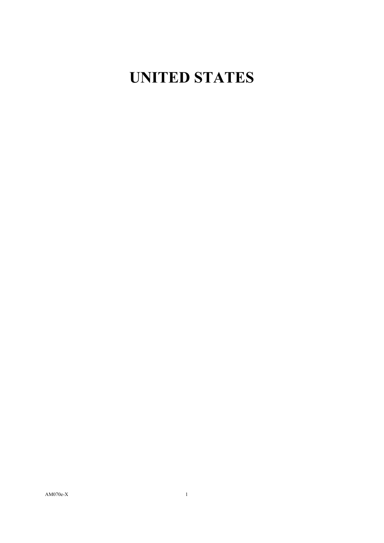## **UNITED STATES**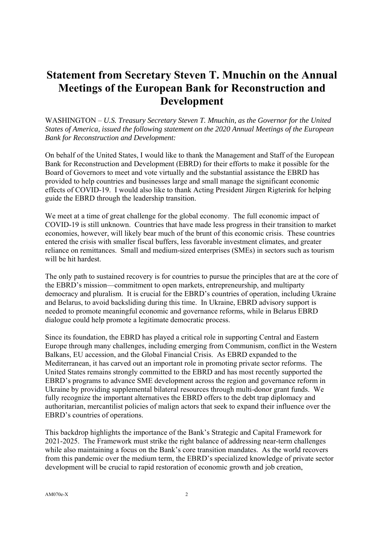## **Statement from Secretary Steven T. Mnuchin on the Annual Meetings of the European Bank for Reconstruction and Development**

WASHINGTON – *U.S. Treasury Secretary Steven T. Mnuchin, as the Governor for the United States of America, issued the following statement on the 2020 Annual Meetings of the European Bank for Reconstruction and Development:*

On behalf of the United States, I would like to thank the Management and Staff of the European Bank for Reconstruction and Development (EBRD) for their efforts to make it possible for the Board of Governors to meet and vote virtually and the substantial assistance the EBRD has provided to help countries and businesses large and small manage the significant economic effects of COVID-19. I would also like to thank Acting President Jürgen Rigterink for helping guide the EBRD through the leadership transition.

We meet at a time of great challenge for the global economy. The full economic impact of COVID-19 is still unknown. Countries that have made less progress in their transition to market economies, however, will likely bear much of the brunt of this economic crisis. These countries entered the crisis with smaller fiscal buffers, less favorable investment climates, and greater reliance on remittances. Small and medium-sized enterprises (SMEs) in sectors such as tourism will be hit hardest.

The only path to sustained recovery is for countries to pursue the principles that are at the core of the EBRD's mission—commitment to open markets, entrepreneurship, and multiparty democracy and pluralism. It is crucial for the EBRD's countries of operation, including Ukraine and Belarus, to avoid backsliding during this time. In Ukraine, EBRD advisory support is needed to promote meaningful economic and governance reforms, while in Belarus EBRD dialogue could help promote a legitimate democratic process.

Since its foundation, the EBRD has played a critical role in supporting Central and Eastern Europe through many challenges, including emerging from Communism, conflict in the Western Balkans, EU accession, and the Global Financial Crisis. As EBRD expanded to the Mediterranean, it has carved out an important role in promoting private sector reforms. The United States remains strongly committed to the EBRD and has most recently supported the EBRD's programs to advance SME development across the region and governance reform in Ukraine by providing supplemental bilateral resources through multi-donor grant funds. We fully recognize the important alternatives the EBRD offers to the debt trap diplomacy and authoritarian, mercantilist policies of malign actors that seek to expand their influence over the EBRD's countries of operations.

This backdrop highlights the importance of the Bank's Strategic and Capital Framework for 2021-2025. The Framework must strike the right balance of addressing near-term challenges while also maintaining a focus on the Bank's core transition mandates. As the world recovers from this pandemic over the medium term, the EBRD's specialized knowledge of private sector development will be crucial to rapid restoration of economic growth and job creation,